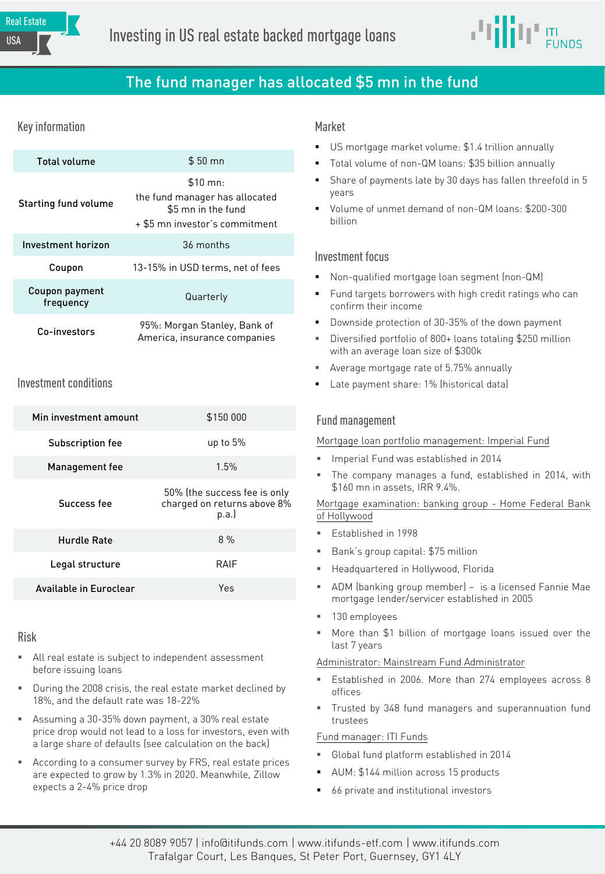

# The fund manager has allocated \$5 mn in the fund

# Key information and the control of the Market Market

| <b>Total volume</b>         | $$50$ mn                                                                                                       |  |  |  |
|-----------------------------|----------------------------------------------------------------------------------------------------------------|--|--|--|
| Starting fund volume        | $$10 \, \text{mn}$ :<br>the fund manager has allocated<br>\$5 mn in the fund<br>+ \$5 mn investor's commitment |  |  |  |
| Investment horizon          | 36 months                                                                                                      |  |  |  |
| Coupon                      | 13-15% in USD terms, net of fees                                                                               |  |  |  |
| Coupon payment<br>frequency | Quarterly                                                                                                      |  |  |  |
| Co-investors                | 95%: Morgan Stanley, Bank of<br>America, insurance companies                                                   |  |  |  |

# Investment conditions

| Min investment amount  | \$150 000                                                           |  |  |
|------------------------|---------------------------------------------------------------------|--|--|
| Subscription fee       | up to $5%$                                                          |  |  |
| Management fee         | 1.5%                                                                |  |  |
| Success fee            | 50% (the success fee is only<br>charged on returns above 8%<br>p.a. |  |  |
| Hurdle Rate            | 8%                                                                  |  |  |
| Legal structure        | RAIF                                                                |  |  |
| Available in Euroclear | Υρς                                                                 |  |  |

### Risk

- All real estate is subject to independent assessment before issuing loans
- During the 2008 crisis, the real estate market declined by 18%, and the default rate was 18-22%
- Assuming a 30-35% down payment, a 30% real estate price drop would not lead to a loss for investors, even with a large share of defaults (see calculation on the back)
- According to a consumer survey by FRS, real estate prices are expected to grow by 1.3% in 2020. Meanwhile, Zillow expects a 2-4% price drop

- US mortgage market volume: \$1.4 trillion annually
- Total volume of non-QM loans: \$35 billion annually
- Share of payments late by 30 days has fallen threefold in 5 years
- Volume of unmet demand of non-QM loans: \$200-300 billion

## Investment focus

- Non-qualified mortgage loan segment (non-QM)
- Fund targets borrowers with high credit ratings who can confirm their income
- Downside protection of 30-35% of the down payment
- Diversified portfolio of 800+ loans totaling \$250 million with an average loan size of \$300k
- Average mortgage rate of 5.75% annually
- Late payment share: 1% (historical data)

# Fund management

Mortgage loan portfolio management: Imperial Fund

- Imperial Fund was established in 2014
- The company manages a fund, established in 2014, with \$160 mn in assets, IRR 9.4%.

#### Mortgage examination: banking group - Home Federal Bank of Hollywood

- Established in 1998
- Bank's group capital: \$75 million
- Headquartered in Hollywood, Florida
- ADM (banking group member) is a licensed Fannie Mae mortgage lender/servicer established in 2005
- 130 employees
- More than \$1 billion of mortgage loans issued over the last 7 years

#### Administrator: Mainstream Fund Administrator

- Established in 2006. More than 274 employees across 8 offices
- Trusted by 348 fund managers and superannuation fund trustees

# Fund manager: ITI Funds

- Global fund platform established in 2014
- AUM: \$144 million across 15 products
- 66 private and institutional investors